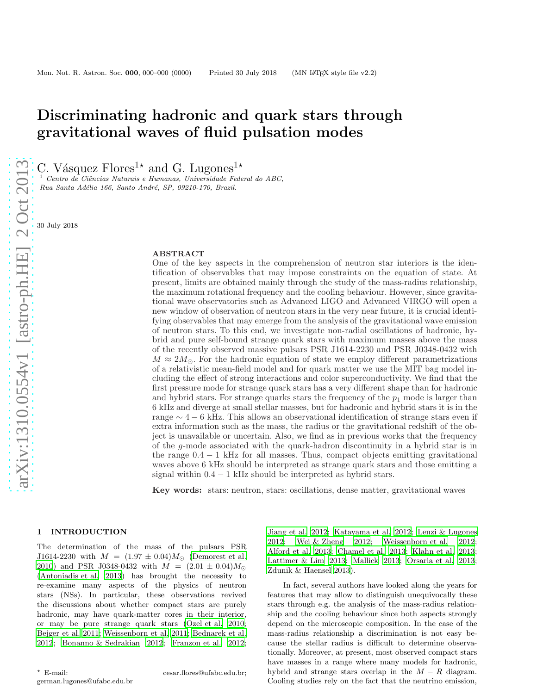# Discriminating hadronic and quark stars through gravitational waves of fluid pulsation modes

C. Vásquez Flores<sup>1\*</sup> and G. Lugones<sup>1\*</sup>

 $\frac{1}{1}$  Centro de Ciências Naturais e Humanas, Universidade Federal do ABC, Rua Santa Adélia 166, Santo André, SP, 09210-170, Brazil.

30 July 2018

## ABSTRACT

One of the key aspects in the comprehension of neutron star interiors is the identification of observables that may impose constraints on the equation of state. At present, limits are obtained mainly through the study of the mass-radius relationship, the maximum rotational frequency and the cooling behaviour. However, since gravitational wave observatories such as Advanced LIGO and Advanced VIRGO will open a new window of observation of neutron stars in the very near future, it is crucial identifying observables that may emerge from the analysis of the gravitational wave emission of neutron stars. To this end, we investigate non-radial oscillations of hadronic, hybrid and pure self-bound strange quark stars with maximum masses above the mass of the recently observed massive pulsars PSR J1614-2230 and PSR J0348-0432 with  $M \approx 2M_{\odot}$ . For the hadronic equation of state we employ different parametrizations of a relativistic mean-field model and for quark matter we use the MIT bag model including the effect of strong interactions and color superconductivity. We find that the first pressure mode for strange quark stars has a very different shape than for hadronic and hybrid stars. For strange quarks stars the frequency of the  $p_1$  mode is larger than 6 kHz and diverge at small stellar masses, but for hadronic and hybrid stars it is in the range  $\sim 4-6$  kHz. This allows an observational identification of strange stars even if extra information such as the mass, the radius or the gravitational redshift of the object is unavailable or uncertain. Also, we find as in previous works that the frequency of the g-mode associated with the quark-hadron discontinuity in a hybrid star is in the range  $0.4 - 1$  kHz for all masses. Thus, compact objects emitting gravitational waves above 6 kHz should be interpreted as strange quark stars and those emitting a signal within  $0.4 - 1$  kHz should be interpreted as hybrid stars.

Key words: stars: neutron, stars: oscillations, dense matter, gravitational waves

## 1 INTRODUCTION

The determination of the mass of the pulsars PSR J1614-2230 with  $M = (1.97 \pm 0.04) M_{\odot}$  [\(Demorest et al.](#page-5-0) [2010](#page-5-0)) and PSR J0348-0432 with  $M = (2.01 \pm 0.04)M_{\odot}$ [\(Antoniadis et al. 2013\)](#page-5-1) has brought the necessity to re-examine many aspects of the physics of neutron stars (NSs). In particular, these observations revived the discussions about whether compact stars are purely hadronic, may have quark-matter cores in their interior, or may be pure strange quark stars [\(Ozel et al. 2010;](#page-6-0) [Bejger et al. 2011;](#page-5-2) [Weissenborn et al. 2011;](#page-6-1) [Bednarek et al.](#page-5-3) [2012](#page-5-3); [Bonanno & Sedrakian 2012](#page-5-4); [Franzon et al. 2012;](#page-5-5)

[Jiang et al. 2012](#page-5-6); [Katayama et al. 2012;](#page-5-7) [Lenzi & Lugones](#page-6-2) [2012](#page-6-2); [Wei & Zheng 2012](#page-6-3); [Weissenborn et al. 2012](#page-6-4); [Alford et al. 2013](#page-5-8); [Chamel et al. 2013](#page-5-9); [Klahn et al. 2013](#page-5-10); [Lattimer & Lim 2013](#page-6-5); [Mallick 2013;](#page-6-6) [Orsaria et al. 2013](#page-6-7); [Zdunik & Haensel 2013](#page-6-8)).

In fact, several authors have looked along the years for features that may allow to distinguish unequivocally these stars through e.g. the analysis of the mass-radius relationship and the cooling behaviour since both aspects strongly depend on the microscopic composition. In the case of the mass-radius relationship a discrimination is not easy because the stellar radius is difficult to determine observationally. Moreover, at present, most observed compact stars have masses in a range where many models for hadronic, hybrid and strange stars overlap in the  $M - R$  diagram. Cooling studies rely on the fact that the neutrino emission,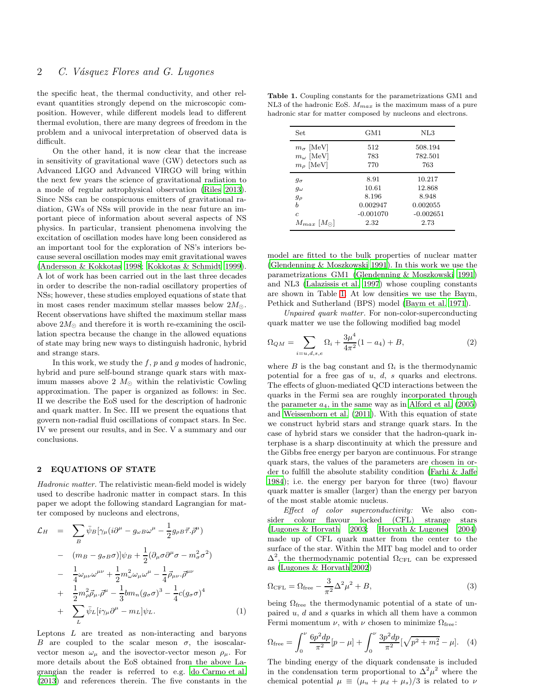the specific heat, the thermal conductivity, and other relevant quantities strongly depend on the microscopic composition. However, while different models lead to different thermal evolution, there are many degrees of freedom in the problem and a univocal interpretation of observed data is difficult.

On the other hand, it is now clear that the increase in sensitivity of gravitational wave (GW) detectors such as Advanced LIGO and Advanced VIRGO will bring within the next few years the science of gravitational radiation to a mode of regular astrophysical observation [\(Riles 2013](#page-6-9)). Since NSs can be conspicuous emitters of gravitational radiation, GWs of NSs will provide in the near future an important piece of information about several aspects of NS physics. In particular, transient phenomena involving the excitation of oscillation modes have long been considered as an important tool for the exploration of NS's interiors because several oscillation modes may emit gravitational waves [\(Andersson & Kokkotas 1998](#page-5-11); [Kokkotas & Schmidt 1999](#page-6-10)). A lot of work has been carried out in the last three decades in order to describe the non-radial oscillatory properties of NSs; however, these studies employed equations of state that in most cases render maximum stellar masses below  $2M_{\odot}$ . Recent observations have shifted the maximum stellar mass above  $2M_{\odot}$  and therefore it is worth re-examining the oscillation spectra because the change in the allowed equations of state may bring new ways to distinguish hadronic, hybrid and strange stars.

In this work, we study the  $f$ ,  $p$  and  $q$  modes of hadronic, hybrid and pure self-bound strange quark stars with maximum masses above 2  $M_{\odot}$  within the relativistic Cowling approximation. The paper is organized as follows: in Sec. II we describe the EoS used for the description of hadronic and quark matter. In Sec. III we present the equations that govern non-radial fluid oscillations of compact stars. In Sec. IV we present our results, and in Sec. V a summary and our conclusions.

#### 2 EQUATIONS OF STATE

Hadronic matter. The relativistic mean-field model is widely used to describe hadronic matter in compact stars. In this paper we adopt the following standard Lagrangian for matter composed by nucleons and electrons,

$$
\mathcal{L}_H = \sum_B \bar{\psi}_B [\gamma_\mu (i\partial^\mu - g_{\omega B} \omega^\mu - \frac{1}{2} g_{\rho B} \vec{\tau} . \vec{\rho}^{\mu})
$$
  
\n
$$
- (m_B - g_{\sigma B} \sigma)] \psi_B + \frac{1}{2} (\partial_\mu \sigma \partial^\mu \sigma - m_\sigma^2 \sigma^2)
$$
  
\n
$$
- \frac{1}{4} \omega_{\mu\nu} \omega^{\mu\nu} + \frac{1}{2} m_\omega^2 \omega_\mu \omega^\mu - \frac{1}{4} \vec{\rho}_{\mu\nu} . \vec{\rho}^{\mu\nu}
$$
  
\n
$$
+ \frac{1}{2} m_\rho^2 \vec{\rho}_\mu . \vec{\rho}^\mu - \frac{1}{3} b m_n (g_\sigma \sigma)^3 - \frac{1}{4} c (g_\sigma \sigma)^4
$$
  
\n
$$
+ \sum_L \bar{\psi}_L [i \gamma_\mu \partial^\mu - m_L] \psi_L.
$$
  
\n(1)

Leptons  $L$  are treated as non-interacting and baryons B are coupled to the scalar meson  $\sigma$ , the isoscalarvector meson  $\omega_{\mu}$  and the isovector-vector meson  $\rho_{\mu}$ . For more details about the EoS obtained from the above Lagrangian the reader is referred to e.g. [do Carmo et al.](#page-5-12) [\(2013](#page-5-12)) and references therein. The five constants in the

Table 1. Coupling constants for the parametrizations GM1 and NL3 of the hadronic EoS.  $M_{max}$  is the maximum mass of a pure hadronic star for matter composed by nucleons and electrons.

<span id="page-1-0"></span>

| Set.                                         | GM1         | NL3         |
|----------------------------------------------|-------------|-------------|
| $m_{\sigma}$  MeV                            | 512         | 508.194     |
| $m_{\omega}$ [MeV]                           | 783         | 782.501     |
| $m_\rho$ [MeV]                               | 770         | 763         |
| $g_{\sigma}$                                 | 8.91        | 10.217      |
| $g_{\omega}$                                 | 10.61       | 12.868      |
| $g_{\rho}$                                   | 8.196       | 8.948       |
| h                                            | 0.002947    | 0.002055    |
| $\overline{c}$                               | $-0.001070$ | $-0.002651$ |
| $M_{max}$ [M <sub><math>\odot</math></sub> ] | 2.32        | 2.73        |

model are fitted to the bulk properties of nuclear matter [\(Glendenning & Moszkowski 1991](#page-5-13)). In this work we use the parametrizations GM1 [\(Glendenning & Moszkowski 1991](#page-5-13)) and NL3 [\(Lalazissis et al. 1997\)](#page-6-11) whose coupling constants are shown in Table [1.](#page-1-0) At low densities we use the Baym, Pethick and Sutherland (BPS) model [\(Baym et al. 1971\)](#page-5-14).

Unpaired quark matter. For non-color-superconducting quark matter we use the following modified bag model

$$
\Omega_{QM} = \sum_{i=u,d,s,e} \Omega_i + \frac{3\mu^4}{4\pi^2} (1 - a_4) + B,\tag{2}
$$

where B is the bag constant and  $\Omega_i$  is the thermodynamic potential for a free gas of  $u, d, s$  quarks and electrons. The effects of gluon-mediated QCD interactions between the quarks in the Fermi sea are roughly incorporated through the parameter  $a_4$ , in the same way as in [Alford et al. \(2005](#page-5-15)) and [Weissenborn et al. \(2011\)](#page-6-1). With this equation of state we construct hybrid stars and strange quark stars. In the case of hybrid stars we consider that the hadron-quark interphase is a sharp discontinuity at which the pressure and the Gibbs free energy per baryon are continuous. For strange quark stars, the values of the parameters are chosen in order to fulfill the absolute stability condition [\(Farhi & Jaffe](#page-5-16) [1984](#page-5-16)); i.e. the energy per baryon for three (two) flavour quark matter is smaller (larger) than the energy per baryon of the most stable atomic nucleus.

Effect of color superconductivity: We also consider colour flavour locked (CFL) strange stars [\(Lugones & Horvath 2003](#page-6-12); [Horvath & Lugones 2004](#page-5-17)) made up of CFL quark matter from the center to the surface of the star. Within the MIT bag model and to order  $\Delta^2$ , the thermodynamic potential  $\Omega_{\text{CFL}}$  can be expressed as [\(Lugones & Horvath 2002](#page-6-13))

$$
\Omega_{\rm CFL} = \Omega_{\rm free} - \frac{3}{\pi^2} \Delta^2 \mu^2 + B,\tag{3}
$$

being  $\Omega_{\text{free}}$  the thermodynamic potential of a state of unpaired  $u, d$  and  $s$  quarks in which all them have a common Fermi momentum  $\nu$ , with  $\nu$  chosen to minimize  $\Omega_{\text{free}}$ :

$$
\Omega_{\text{free}} = \int_0^{\nu} \frac{6p^2 dp}{\pi^2} [p - \mu] + \int_0^{\nu} \frac{3p^2 dp}{\pi^2} [\sqrt{p^2 + m_s^2} - \mu]. \quad (4)
$$

The binding energy of the diquark condensate is included in the condensation term proportional to  $\Delta^2 \mu^2$  where the chemical potential  $\mu \equiv (\mu_u + \mu_d + \mu_s)/3$  is related to  $\nu$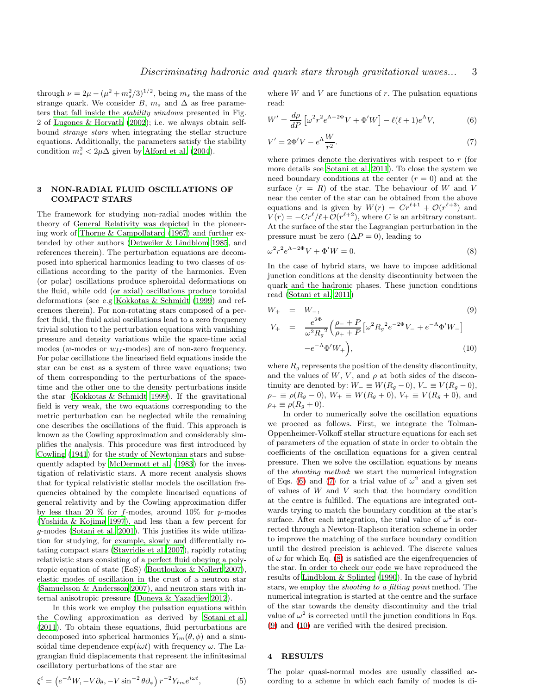through  $\nu = 2\mu - (\mu^2 + m_s^2/3)^{1/2}$ , being  $m_s$  the mass of the strange quark. We consider B,  $m_s$  and  $\Delta$  as free parameters that fall inside the stability windows presented in Fig. 2 of [Lugones & Horvath \(2002](#page-6-13)); i.e. we always obtain selfbound strange stars when integrating the stellar structure equations. Additionally, the parameters satisfy the stability condition  $m_s^2 < 2\mu\Delta$  given by [Alford et al. \(2004](#page-5-18)).

## 3 NON-RADIAL FLUID OSCILLATIONS OF COMPACT STARS

The framework for studying non-radial modes within the theory of General Relativity was depicted in the pioneering work of [Thorne & Campollataro \(1967](#page-6-14)) and further extended by other authors [\(Detweiler & Lindblom 1985](#page-5-19), and references therein). The perturbation equations are decomposed into spherical harmonics leading to two classes of oscillations according to the parity of the harmonics. Even (or polar) oscillations produce spheroidal deformations on the fluid, while odd (or axial) oscillations produce toroidal deformations (see e.g [Kokkotas & Schmidt \(1999\)](#page-6-10) and references therein). For non-rotating stars composed of a perfect fluid, the fluid axial oscillations lead to a zero frequency trivial solution to the perturbation equations with vanishing pressure and density variations while the space-time axial modes (w-modes or  $w_{II}$ -modes) are of non-zero frequency. For polar oscillations the linearised field equations inside the star can be cast as a system of three wave equations; two of them corresponding to the perturbations of the spacetime and the other one to the density perturbations inside the star [\(Kokkotas & Schmidt 1999](#page-6-10)). If the gravitational field is very weak, the two equations corresponding to the metric perturbation can be neglected while the remaining one describes the oscillations of the fluid. This approach is known as the Cowling approximation and considerably simplifies the analysis. This procedure was first introduced by [Cowling \(1941](#page-5-20)) for the study of Newtonian stars and subsequently adapted by [McDermott et al. \(1983](#page-6-15)) for the investigation of relativistic stars. A more recent analysis shows that for typical relativistic stellar models the oscillation frequencies obtained by the complete linearised equations of general relativity and by the Cowling approximation differ by less than 20  $\%$  for f-modes, around 10% for p-modes [\(Yoshida & Kojima 1997\)](#page-6-16), and less than a few percent for g-modes [\(Sotani et al. 2001](#page-6-17)). This justifies its wide utilization for studying, for example, slowly and differentially rotating compact stars [\(Stavridis et al. 2007](#page-6-18)), rapidly rotating relativistic stars consisting of a perfect fluid obeying a polytropic equation of state (EoS) [\(Boutloukos & Nollert 2007](#page-5-21)), elastic modes of oscillation in the crust of a neutron star [\(Samuelsson & Andersson 2007\)](#page-6-19), and neutron stars with internal anisotropic pressure [\(Doneva & Yazadjiev 2012](#page-5-22)).

In this work we employ the pulsation equations within the Cowling approximation as derived by [Sotani et al.](#page-6-20) [\(2011](#page-6-20)). To obtain these equations, fluid perturbations are decomposed into spherical harmonics  $Y_{lm}(\theta, \phi)$  and a sinusoidal time dependence  $\exp(i\omega t)$  with frequency  $\omega$ . The Lagrangian fluid displacements that represent the infinitesimal oscillatory perturbations of the star are

$$
\xi^{i} = \left( e^{-\Lambda} W, -V \partial_{\theta}, -V \sin^{-2} \theta \partial_{\phi} \right) r^{-2} Y_{\ell m} e^{i\omega t}, \tag{5}
$$

where  $W$  and  $V$  are functions of  $r$ . The pulsation equations read:

<span id="page-2-0"></span>
$$
W' = \frac{d\rho}{dP} \left[ \omega^2 r^2 e^{\Lambda - 2\Phi} V + \Phi' W \right] - \ell(\ell + 1) e^{\Lambda} V,\tag{6}
$$

<span id="page-2-1"></span>
$$
V' = 2\Phi'V - e^{\Lambda}\frac{W}{r^2}.\tag{7}
$$

where primes denote the derivatives with respect to  $r$  (for more details see [Sotani et al. 2011\)](#page-6-20). To close the system we need boundary conditions at the center  $(r = 0)$  and at the surface  $(r = R)$  of the star. The behaviour of W and V near the center of the star can be obtained from the above equations and is given by  $W(r) = Cr^{\ell+1} + \mathcal{O}(r^{\ell+3})$  and  $V(r) = -Cr^{\ell}/\ell + \mathcal{O}(r^{\ell+2})$ , where C is an arbitrary constant. At the surface of the star the Lagrangian perturbation in the pressure must be zero ( $\Delta P = 0$ ), leading to

<span id="page-2-2"></span>
$$
\omega^2 r^2 e^{\Lambda - 2\Phi} V + \Phi' W = 0. \tag{8}
$$

In the case of hybrid stars, we have to impose additional junction conditions at the density discontinuity between the quark and the hadronic phases. These junction conditions read [\(Sotani et al. 2011\)](#page-6-20)

<span id="page-2-3"></span>
$$
W_{+} = W_{-}, \qquad (9)
$$
  
\n
$$
V_{+} = \frac{e^{2\Phi}}{\omega^{2} R_{g}^{2}} \left(\frac{\rho_{-} + P}{\rho_{+} + P} \left[\omega^{2} R_{g}^{2} e^{-2\Phi} V_{-} + e^{-\Lambda} \Phi' W_{-}\right] - e^{-\Lambda} \Phi' W_{+}\right), \qquad (10)
$$

where  $R_g$  represents the position of the density discontinuity, and the values of  $W, V$ , and  $\rho$  at both sides of the discontinuity are denoted by:  $W_ - \equiv W(R_g - 0), V_- \equiv V(R_g - 0),$  $\rho_-\equiv \rho(R_g-0), W_+\equiv W(R_g+0), V_+\equiv V(R_g+0),$  and  $\rho_+ \equiv \rho (R_g + 0).$ 

In order to numerically solve the oscillation equations we proceed as follows. First, we integrate the Tolman-Oppenheimer-Volkoff stellar structure equations for each set of parameters of the equation of state in order to obtain the coefficients of the oscillation equations for a given central pressure. Then we solve the oscillation equations by means of the shooting method: we start the numerical integration of Eqs. [\(6\)](#page-2-0) and [\(7\)](#page-2-1) for a trial value of  $\omega^2$  and a given set of values of  $W$  and  $V$  such that the boundary condition at the centre is fulfilled. The equations are integrated outwards trying to match the boundary condition at the star's surface. After each integration, the trial value of  $\omega^2$  is corrected through a Newton-Raphson iteration scheme in order to improve the matching of the surface boundary condition until the desired precision is achieved. The discrete values of  $\omega$  for which Eq. [\(8\)](#page-2-2) is satisfied are the eigenfrequencies of the star. In order to check our code we have reproduced the results of [Lindblom & Splinter \(1990\)](#page-6-21). In the case of hybrid stars, we employ the shooting to a fitting point method. The numerical integration is started at the centre and the surface of the star towards the density discontinuity and the trial value of  $\omega^2$  is corrected until the junction conditions in Eqs. [\(9\)](#page-2-3) and [\(10\)](#page-2-3) are verified with the desired precision.

## 4 RESULTS

The polar quasi-normal modes are usually classified according to a scheme in which each family of modes is di-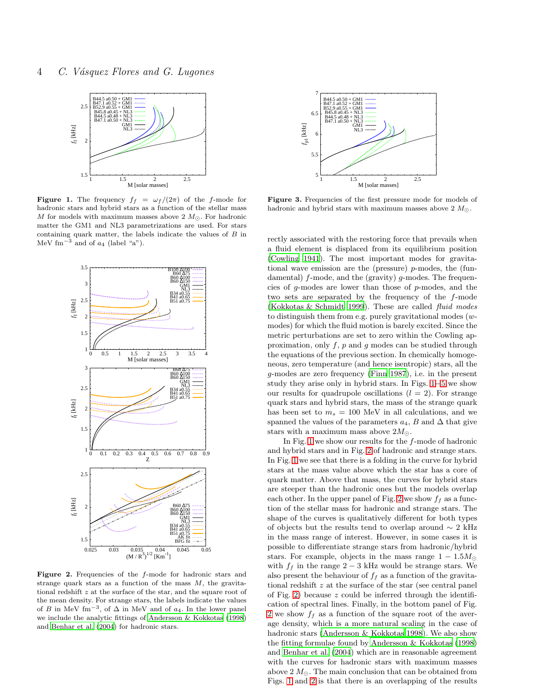

<span id="page-3-0"></span>**Figure 1.** The frequency  $f_f = \omega_f/(2\pi)$  of the f-mode for hadronic stars and hybrid stars as a function of the stellar mass M for models with maximum masses above 2  $M_{\odot}$ . For hadronic matter the GM1 and NL3 parametrizations are used. For stars containing quark matter, the labels indicate the values of B in MeV fm<sup>-3</sup> and of  $a_4$  (label "a").



<span id="page-3-1"></span>Figure 2. Frequencies of the f-mode for hadronic stars and strange quark stars as a function of the mass  $M$ , the gravitational redshift z at the surface of the star, and the square root of the mean density. For strange stars, the labels indicate the values of B in MeV fm<sup>-3</sup>, of  $\Delta$  in MeV and of  $a_4$ . In the lower panel we include the analytic fittings of [Andersson & Kokkotas \(1998\)](#page-5-11) and [Benhar et al. \(2004\)](#page-5-23) for hadronic stars.



<span id="page-3-2"></span>Figure 3. Frequencies of the first pressure mode for models of hadronic and hybrid stars with maximum masses above 2  $M_{\odot}$ .

rectly associated with the restoring force that prevails when a fluid element is displaced from its equilibrium position [\(Cowling 1941](#page-5-20)). The most important modes for gravitational wave emission are the (pressure) p-modes, the (fundamental) f-mode, and the (gravity) g-modes. The frequencies of g-modes are lower than those of p-modes, and the two sets are separated by the frequency of the f-mode [\(Kokkotas & Schmidt 1999](#page-6-10)). These are called fluid modes to distinguish them from e.g. purely gravitational modes (wmodes) for which the fluid motion is barely excited. Since the metric perturbations are set to zero within the Cowling approximation, only  $f$ ,  $p$  and  $g$  modes can be studied through the equations of the previous section. In chemically homogeneous, zero temperature (and hence isentropic) stars, all the g-modes are zero frequency [\(Finn 1987](#page-5-24)), i.e. in the present study they arise only in hybrid stars. In Figs. [1](#page-3-0)−[5](#page-4-0) we show our results for quadrupole oscillations  $(l = 2)$ . For strange quark stars and hybrid stars, the mass of the strange quark has been set to  $m_s = 100$  MeV in all calculations, and we spanned the values of the parameters  $a_4$ , B and  $\Delta$  that give stars with a maximum mass above  $2M_{\odot}$ .

In Fig. [1](#page-3-0) we show our results for the f-mode of hadronic and hybrid stars and in Fig. [2](#page-3-1) of hadronic and strange stars. In Fig. [1](#page-3-0) we see that there is a folding in the curve for hybrid stars at the mass value above which the star has a core of quark matter. Above that mass, the curves for hybrid stars are steeper than the hadronic ones but the models overlap each other. In the upper panel of Fig. [2](#page-3-1) we show  $f_f$  as a function of the stellar mass for hadronic and strange stars. The shape of the curves is qualitatively different for both types of objects but the results tend to overlap around  $\sim 2 \text{ kHz}$ in the mass range of interest. However, in some cases it is possible to differentiate strange stars from hadronic/hybrid stars. For example, objects in the mass range  $1 - 1.5M_{\odot}$ with  $f_f$  in the range 2 − 3 kHz would be strange stars. We also present the behaviour of  $f_f$  as a function of the gravitational redshift z at the surface of the star (see central panel of Fig. [2\)](#page-3-1) because  $z$  could be inferred through the identification of spectral lines. Finally, in the bottom panel of Fig. [2](#page-3-1) we show  $f_f$  as a function of the square root of the average density, which is a more natural scaling in the case of hadronic stars [\(Andersson & Kokkotas 1998](#page-5-11)). We also show the fitting formulae found by [Andersson & Kokkotas \(1998](#page-5-11)) and [Benhar et al. \(2004](#page-5-23)) which are in reasonable agreement with the curves for hadronic stars with maximum masses above 2  $M_{\odot}$ . The main conclusion that can be obtained from Figs. [1](#page-3-0) and [2](#page-3-1) is that there is an overlapping of the results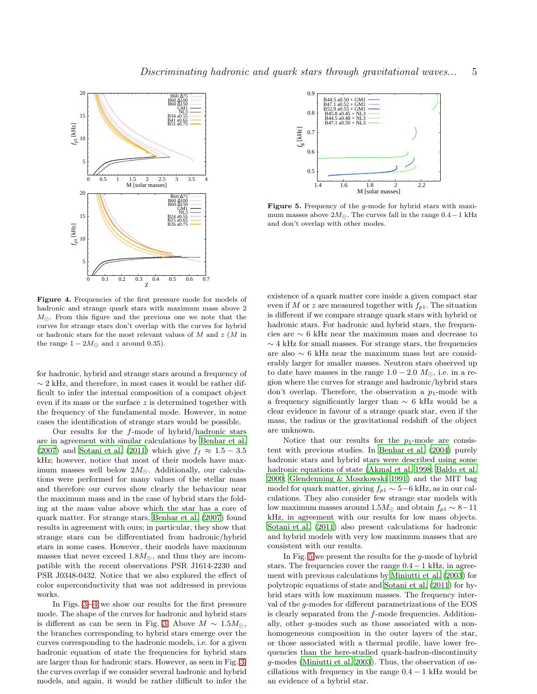

<span id="page-4-1"></span>Figure 4. Frequencies of the first pressure mode for models of hadronic and strange quark stars with maximum mass above 2  $M_{\odot}$ . From this figure and the previous one we note that the curves for strange stars don't overlap with the curves for hybrid or hadronic stars for the most relevant values of M and z (M in the range  $1 - 2M_{\odot}$  and z around 0.35).

for hadronic, hybrid and strange stars around a frequency of  $\sim$  2 kHz, and therefore, in most cases it would be rather difficult to infer the internal composition of a compact object even if its mass or the surface z is determined together with the frequency of the fundamental mode. However, in some cases the identification of strange stars would be possible.

Our results for the f-mode of hybrid/hadronic stars are in agreement with similar calculations by [Benhar et al.](#page-5-25) [\(2007](#page-5-25)) and [Sotani et al. \(2011\)](#page-6-20) which give  $f_f \approx 1.5 - 3.5$ kHz; however, notice that most of their models have maximum masses well below  $2M_{\odot}$ . Additionally, our calculations were performed for many values of the stellar mass and therefore our curves show clearly the behaviour near the maximum mass and in the case of hybrid stars the folding at the mass value above which the star has a core of quark matter. For strange stars, [Benhar et al. \(2007\)](#page-5-25) found results in agreement with ours; in particular, they show that strange stars can be differentiated from hadronic/hybrid stars in some cases. However, their models have maximum masses that never exceed  $1.8M_{\odot}$ , and thus they are incompatible with the recent observations PSR J1614-2230 and PSR J0348-0432. Notice that we also explored the effect of color superconductivity that was not addressed in previous works.

In Figs. [3](#page-3-2)−[4](#page-4-1) we show our results for the first pressure mode. The shape of the curves for hadronic and hybrid stars is different as can be seen in Fig. [3.](#page-3-2) Above  $M \sim 1.5 M_{\odot}$ , the branches corresponding to hybrid stars emerge over the curves corresponding to the hadronic models, i.e. for a given hadronic equation of state the frequencies for hybrid stars are larger than for hadronic stars. However, as seen in Fig. [3,](#page-3-2) the curves overlap if we consider several hadronic and hybrid models, and again, it would be rather difficult to infer the





<span id="page-4-0"></span>Figure 5. Frequency of the *q*-mode for hybrid stars with maximum masses above  $2M_{\odot}$ . The curves fall in the range  $0.4-1$  kHz and don't overlap with other modes.

existence of a quark matter core inside a given compact star even if M or z are measured together with  $f_{p1}$ . The situation is different if we compare strange quark stars with hybrid or hadronic stars. For hadronic and hybrid stars, the frequencies are ∼ 6 kHz near the maximum mass and decrease to  $\sim$  4 kHz for small masses. For strange stars, the frequencies are also ∼ 6 kHz near the maximum mass but are considerably larger for smaller masses. Neutron stars observed up to date have masses in the range  $1.0 - 2.0$   $M_{\odot}$ , i.e. in a region where the curves for strange and hadronic/hybrid stars don't overlap. Therefore, the observation a  $p_1$ -mode with a frequency significantly larger than ∼ 6 kHz would be a clear evidence in favour of a strange quark star, even if the mass, the radius or the gravitational redshift of the object are unknown.

Notice that our results for the  $p_1$ -mode are consistent with previous studies. In [Benhar et al. \(2004](#page-5-23)) purely hadronic stars and hybrid stars were described using some hadronic equations of state [\(Akmal et al. 1998;](#page-5-26) [Baldo et al.](#page-5-27) [2000](#page-5-27); [Glendenning & Moszkowski 1991](#page-5-13)) and the MIT bag model for quark matter, giving  $f_{p1} \sim 5-6$  kHz, as in our calculations. They also consider few strange star models with low maximum masses around 1.5 $M_{\odot}$  and obtain  $f_{p1} \sim 8-11$ kHz, in agreement with our results for low mass objects. [Sotani et al. \(2011\)](#page-6-20) also present calculations for hadronic and hybrid models with very low maximum masses that are consistent with our results.

In Fig. [5](#page-4-0) we present the results for the g-mode of hybrid stars. The frequencies cover the range  $0.4-1$  kHz, in agreement with previous calculations by [Miniutti et al. \(2003](#page-6-22)) for polytropic equations of state and [Sotani et al. \(2011\)](#page-6-20) for hybrid stars with low maximum masses. The frequency interval of the g-modes for different parametrizations of the EOS is clearly separated from the f-mode frequencies. Additionally, other g-modes such as those associated with a nonhomogeneous composition in the outer layers of the star, or those associated with a thermal profile, have lower frequencies than the here-studied quark-hadron-discontinuity g-modes [\(Miniutti et al. 2003](#page-6-22)). Thus, the observation of oscillations with frequency in the range  $0.4 - 1$  kHz would be an evidence of a hybrid star.

Discriminating hadronic and quark stars through gravitational waves... 5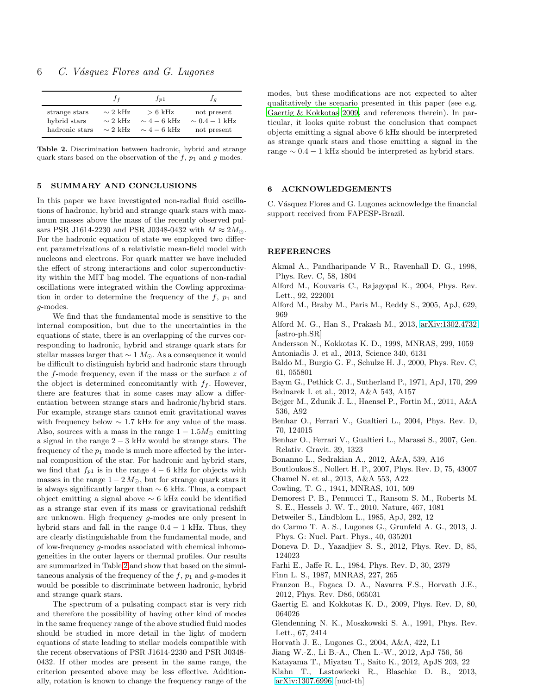|                | $f_f$                | $f_{p1}$          | Ĵа               |
|----------------|----------------------|-------------------|------------------|
| strange stars  | $\sim 2 \text{ kHz}$ | $> 6 \text{ kHz}$ | not present      |
| hybrid stars   | $\sim$ 2 kHz         | $\sim$ 4 – 6 kHz  | $\sim 0.4-1$ kHz |
| hadronic stars | $\sim 2 \text{ kHz}$ | $\sim$ 4 – 6 kHz  | not present      |

<span id="page-5-28"></span>Table 2. Discrimination between hadronic, hybrid and strange quark stars based on the observation of the  $f$ ,  $p_1$  and  $g$  modes.

## 5 SUMMARY AND CONCLUSIONS

In this paper we have investigated non-radial fluid oscillations of hadronic, hybrid and strange quark stars with maximum masses above the mass of the recently observed pulsars PSR J1614-2230 and PSR J0348-0432 with  $M \approx 2M_{\odot}$ . For the hadronic equation of state we employed two different parametrizations of a relativistic mean-field model with nucleons and electrons. For quark matter we have included the effect of strong interactions and color superconductivity within the MIT bag model. The equations of non-radial oscillations were integrated within the Cowling approximation in order to determine the frequency of the  $f$ ,  $p_1$  and g-modes.

We find that the fundamental mode is sensitive to the internal composition, but due to the uncertainties in the equations of state, there is an overlapping of the curves corresponding to hadronic, hybrid and strange quark stars for stellar masses larger that  $\sim 1 M_{\odot}$ . As a consequence it would be difficult to distinguish hybrid and hadronic stars through the  $f$ -mode frequency, even if the mass or the surface  $z$  of the object is determined concomitantly with  $f_f$ . However, there are features that in some cases may allow a differentiation between strange stars and hadronic/hybrid stars. For example, strange stars cannot emit gravitational waves with frequency below  $\sim 1.7$  kHz for any value of the mass. Also, sources with a mass in the range  $1 - 1.5M_{\odot}$  emitting a signal in the range 2 − 3 kHz would be strange stars. The frequency of the  $p_1$  mode is much more affected by the internal composition of the star. For hadronic and hybrid stars, we find that  $f_{p1}$  is in the range  $4-6$  kHz for objects with masses in the range  $1 - 2 M_{\odot}$ , but for strange quark stars it is always significantly larger than ∼ 6 kHz. Thus, a compact object emitting a signal above ∼ 6 kHz could be identified as a strange star even if its mass or gravitational redshift are unknown. High frequency g-modes are only present in hybrid stars and fall in the range  $0.4 - 1$  kHz. Thus, they are clearly distinguishable from the fundamental mode, and of low-frequency g-modes associated with chemical inhomogeneities in the outer layers or thermal profiles. Our results are summarized in Table [2](#page-5-28) and show that based on the simultaneous analysis of the frequency of the  $f, p_1$  and g-modes it would be possible to discriminate between hadronic, hybrid and strange quark stars.

The spectrum of a pulsating compact star is very rich and therefore the possibility of having other kind of modes in the same frequency range of the above studied fluid modes should be studied in more detail in the light of modern equations of state leading to stellar models compatible with the recent observations of PSR J1614-2230 and PSR J0348- 0432. If other modes are present in the same range, the criterion presented above may be less effective. Additionally, rotation is known to change the frequency range of the

modes, but these modifications are not expected to alter qualitatively the scenario presented in this paper (see e.g. [Gaertig & Kokkotas 2009,](#page-5-29) and references therein). In particular, it looks quite robust the conclusion that compact objects emitting a signal above 6 kHz should be interpreted as strange quark stars and those emitting a signal in the range  $∼$  0.4  $-$  1 kHz should be interpreted as hybrid stars.

## 6 ACKNOWLEDGEMENTS

C. Vásquez Flores and G. Lugones acknowledge the financial support received from FAPESP-Brazil.

### REFERENCES

- <span id="page-5-26"></span>Akmal A., Pandharipande V R., Ravenhall D. G., 1998, Phys. Rev. C, 58, 1804
- <span id="page-5-18"></span>Alford M., Kouvaris C., Rajagopal K., 2004, Phys. Rev. Lett., 92, 222001
- <span id="page-5-15"></span>Alford M., Braby M., Paris M., Reddy S., 2005, ApJ, 629, 969
- <span id="page-5-8"></span>Alford M. G., Han S., Prakash M., 2013, [arXiv:1302.4732](http://arxiv.org/abs/1302.4732) [astro-ph.SR]
- <span id="page-5-11"></span><span id="page-5-1"></span>Andersson N., Kokkotas K. D., 1998, MNRAS, 299, 1059 Antoniadis J. et al., 2013, Science 340, 6131
- <span id="page-5-27"></span>Baldo M., Burgio G. F., Schulze H. J., 2000, Phys. Rev. C, 61, 055801
- <span id="page-5-14"></span><span id="page-5-3"></span>Baym G., Pethick C. J., Sutherland P., 1971, ApJ, 170, 299 Bednarek I. et al., 2012, A&A 543, A157
- <span id="page-5-2"></span>Bejger M., Zdunik J. L., Haensel P., Fortin M., 2011, A&A 536, A92
- <span id="page-5-23"></span>Benhar O., Ferrari V., Gualtieri L., 2004, Phys. Rev. D, 70, 124015
- <span id="page-5-25"></span>Benhar O., Ferrari V., Gualtieri L., Marassi S., 2007, Gen. Relativ. Gravit. 39, 1323
- <span id="page-5-4"></span>Bonanno L., Sedrakian A., 2012, A&A, 539, A16
- <span id="page-5-21"></span>Boutloukos S., Nollert H. P., 2007, Phys. Rev. D, 75, 43007
- <span id="page-5-9"></span>Chamel N. et al., 2013, A&A 553, A22
- <span id="page-5-20"></span>Cowling, T. G., 1941, MNRAS, 101, 509
- <span id="page-5-0"></span>Demorest P. B., Pennucci T., Ransom S. M., Roberts M.
- S. E., Hessels J. W. T., 2010, Nature, 467, 1081
- <span id="page-5-19"></span>Detweiler S., Lindblom L., 1985, ApJ, 292, 12
- <span id="page-5-12"></span>do Carmo T. A. S., Lugones G., Grunfeld A. G., 2013, J. Phys. G: Nucl. Part. Phys., 40, 035201
- <span id="page-5-22"></span>Doneva D. D., Yazadjiev S. S., 2012, Phys. Rev. D, 85, 124023
- <span id="page-5-16"></span>Farhi E., Jaffe R. L., 1984, Phys. Rev. D, 30, 2379
- <span id="page-5-24"></span>Finn L. S., 1987, MNRAS, 227, 265
- <span id="page-5-5"></span>Franzon B., Fogaca D. A., Navarra F.S., Horvath J.E., 2012, Phys. Rev. D86, 065031
- <span id="page-5-29"></span>Gaertig E. and Kokkotas K. D., 2009, Phys. Rev. D, 80, 064026
- <span id="page-5-13"></span>Glendenning N. K., Moszkowski S. A., 1991, Phys. Rev. Lett., 67, 2414
- <span id="page-5-17"></span>Horvath J. E., Lugones G., 2004, A&A, 422, L1
- <span id="page-5-6"></span>Jiang W.-Z., Li B.-A., Chen L.-W., 2012, ApJ 756, 56
- <span id="page-5-7"></span>Katayama T., Miyatsu T., Saito K., 2012, ApJS 203, 22
- <span id="page-5-10"></span>Klahn T., Lastowiecki R., Blaschke D. B., 2013, [arXiv:1307.6996](http://arxiv.org/abs/1307.6996) [nucl-th]